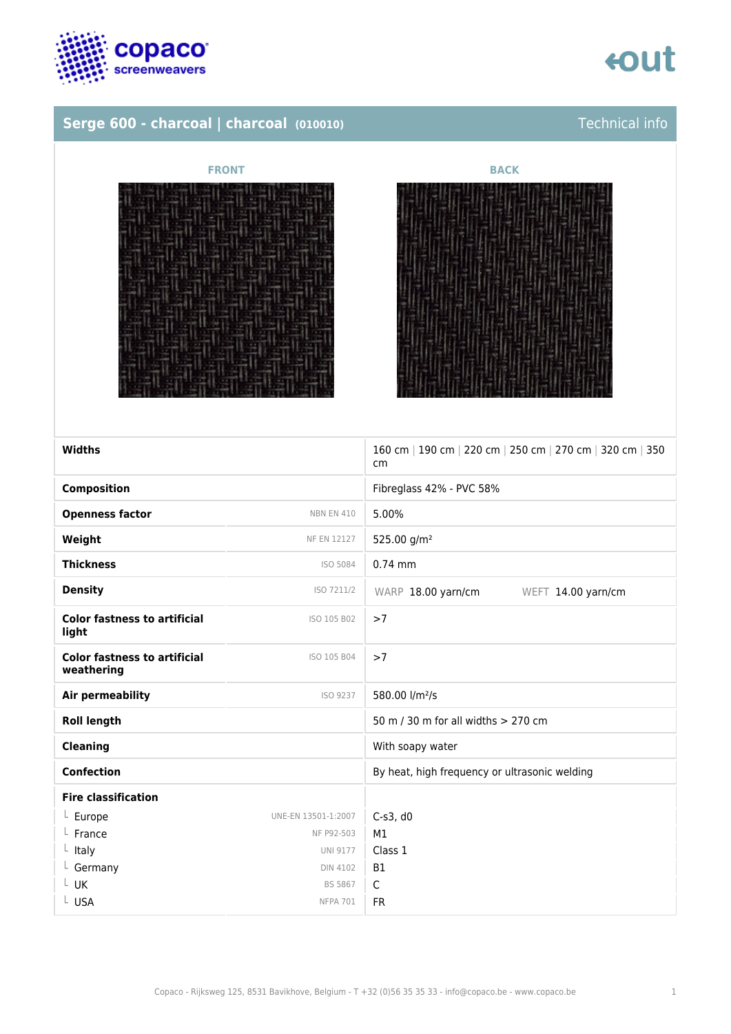

# **Serge 600 - charcoal | charcoal** *(010010)* **Technical info**

# **FRONT BACK**



| Widths                                            |                     | 160 cm   190 cm   220 cm   250 cm   270 cm   320 cm   350<br>cm |
|---------------------------------------------------|---------------------|-----------------------------------------------------------------|
| <b>Composition</b>                                |                     | Fibreglass 42% - PVC 58%                                        |
| <b>Openness factor</b>                            | <b>NBN EN 410</b>   | 5.00%                                                           |
| Weight                                            | <b>NF EN 12127</b>  | 525.00 g/m <sup>2</sup>                                         |
| <b>Thickness</b>                                  | ISO 5084            | $0.74$ mm                                                       |
| <b>Density</b>                                    | ISO 7211/2          | WARP 18.00 yarn/cm<br>WEFT 14.00 yarn/cm                        |
| <b>Color fastness to artificial</b><br>light      | ISO 105 B02         | >7                                                              |
| <b>Color fastness to artificial</b><br>weathering | ISO 105 B04         | >7                                                              |
| Air permeability                                  | ISO 9237            | 580.00 l/m <sup>2</sup> /s                                      |
| <b>Roll length</b>                                |                     | 50 m / 30 m for all widths > 270 cm                             |
| <b>Cleaning</b>                                   |                     | With soapy water                                                |
| <b>Confection</b>                                 |                     | By heat, high frequency or ultrasonic welding                   |
| <b>Fire classification</b>                        |                     |                                                                 |
| $L$ Europe                                        | UNE-EN 13501-1:2007 | $C-S3$ , d $0$                                                  |
| $L$ France                                        | NF P92-503          | M1                                                              |
| $L$ Italy                                         | <b>UNI 9177</b>     | Class 1                                                         |
| L Germany                                         | <b>DIN 4102</b>     | <b>B1</b>                                                       |
| $L$ UK                                            | <b>BS 5867</b>      | $\mathsf{C}$                                                    |
| L USA                                             | <b>NFPA 701</b>     | <b>FR</b>                                                       |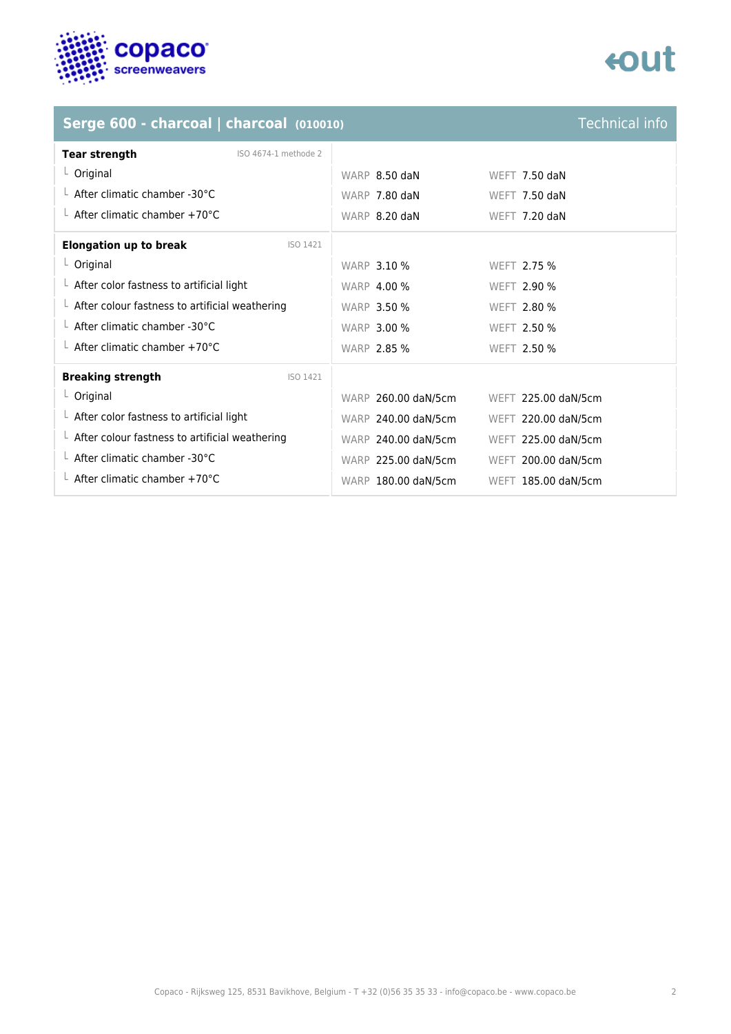

# **eout**

# **Serge 600 - charcoal | charcoal** *(010010)* **Technical info**

| <b>Tear strength</b><br>ISO 4674-1 methode 2           |                     |                     |
|--------------------------------------------------------|---------------------|---------------------|
| $L$ Original                                           | WARP 8.50 daN       | WEFT $7.50$ daN     |
| $\perp$ After climatic chamber -30°C                   | WARP 7.80 daN       | WEFT $7.50$ daN     |
| $\perp$ After climatic chamber +70°C                   | WARP 8.20 daN       | WEFT 7.20 daN       |
| <b>Elongation up to break</b><br>ISO 1421              |                     |                     |
| $L$ Original                                           | <b>WARP 3.10 %</b>  | WEFT 2.75 %         |
| $\perp$ After color fastness to artificial light       | <b>WARP 4.00 %</b>  | <b>WEFT 2.90 %</b>  |
| $\perp$ After colour fastness to artificial weathering | <b>WARP 3.50 %</b>  | <b>WEFT 2.80 %</b>  |
| $\perp$ After climatic chamber -30°C                   | <b>WARP 3.00 %</b>  | WEFT 2.50 %         |
| $\perp$ After climatic chamber +70°C                   | <b>WARP 2.85 %</b>  | <b>WEFT 2.50 %</b>  |
| <b>Breaking strength</b><br>ISO 1421                   |                     |                     |
| $L$ Original                                           | WARP 260.00 daN/5cm | WEFT 225.00 daN/5cm |
| $\perp$ After color fastness to artificial light       | WARP 240.00 daN/5cm | WEFT 220.00 daN/5cm |
| $\perp$ After colour fastness to artificial weathering | WARP 240.00 daN/5cm | WEFT 225.00 daN/5cm |
| $\perp$ After climatic chamber -30°C                   | WARP 225.00 daN/5cm | WEFT 200.00 daN/5cm |
| $\perp$ After climatic chamber +70°C                   | WARP 180.00 daN/5cm | WEFT 185.00 daN/5cm |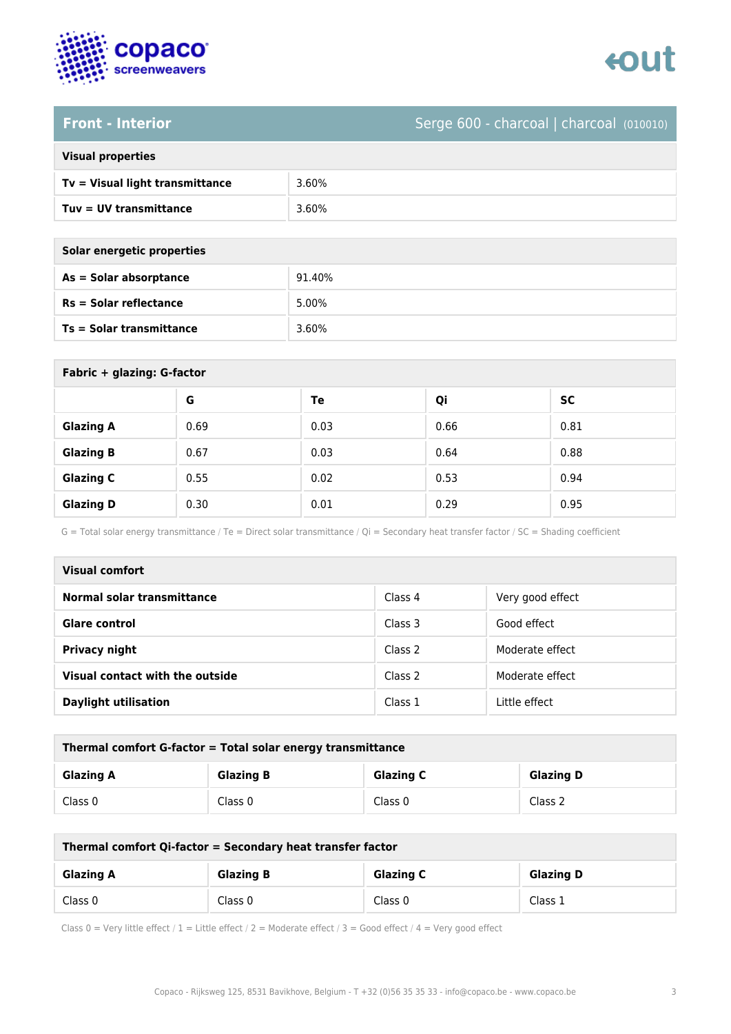

# **Front - Interior** Serge 600 - charcoal | charcoal (010010)

| <b>Visual properties</b> |  |
|--------------------------|--|
|                          |  |

| Tv = Visual light transmittance | 3.60% |
|---------------------------------|-------|
| Tuy = UV transmittance          | 3.60% |

**As = Solar absorptance** 91.40%

| Solar energetic properties |        |  |
|----------------------------|--------|--|
| As = Solar absorptance     | 91.40% |  |
| $Rs = Solar$ reflectance   | 5.00%  |  |
| Ts = Solar transmittance   | 3.60%  |  |

| Fabric + glazing: G-factor |      |      |      |      |  |
|----------------------------|------|------|------|------|--|
|                            | G    | Te   | Qi   | SC   |  |
| <b>Glazing A</b>           | 0.69 | 0.03 | 0.66 | 0.81 |  |
| <b>Glazing B</b>           | 0.67 | 0.03 | 0.64 | 0.88 |  |
| <b>Glazing C</b>           | 0.55 | 0.02 | 0.53 | 0.94 |  |
| <b>Glazing D</b>           | 0.30 | 0.01 | 0.29 | 0.95 |  |

G = Total solar energy transmittance / Te = Direct solar transmittance / Qi = Secondary heat transfer factor / SC = Shading coefficient

| Visual comfort                  |         |                  |  |
|---------------------------------|---------|------------------|--|
| Normal solar transmittance      | Class 4 | Very good effect |  |
| Glare control                   | Class 3 | Good effect      |  |
| <b>Privacy night</b>            | Class 2 | Moderate effect  |  |
| Visual contact with the outside | Class 2 | Moderate effect  |  |
| <b>Daylight utilisation</b>     | Class 1 | Little effect    |  |

| Thermal comfort G-factor = Total solar energy transmittance |                  |                  |                  |  |
|-------------------------------------------------------------|------------------|------------------|------------------|--|
| <b>Glazing A</b>                                            | <b>Glazing B</b> | <b>Glazing C</b> | <b>Glazing D</b> |  |
| Class 0                                                     | Class 0          | Class 0          | Class 2          |  |

| Thermal comfort Qi-factor = Secondary heat transfer factor |                  |                  |                  |  |
|------------------------------------------------------------|------------------|------------------|------------------|--|
| <b>Glazing A</b>                                           | <b>Glazing B</b> | <b>Glazing C</b> | <b>Glazing D</b> |  |
| Class 0                                                    | Class 0          | Class 0          | Class 1          |  |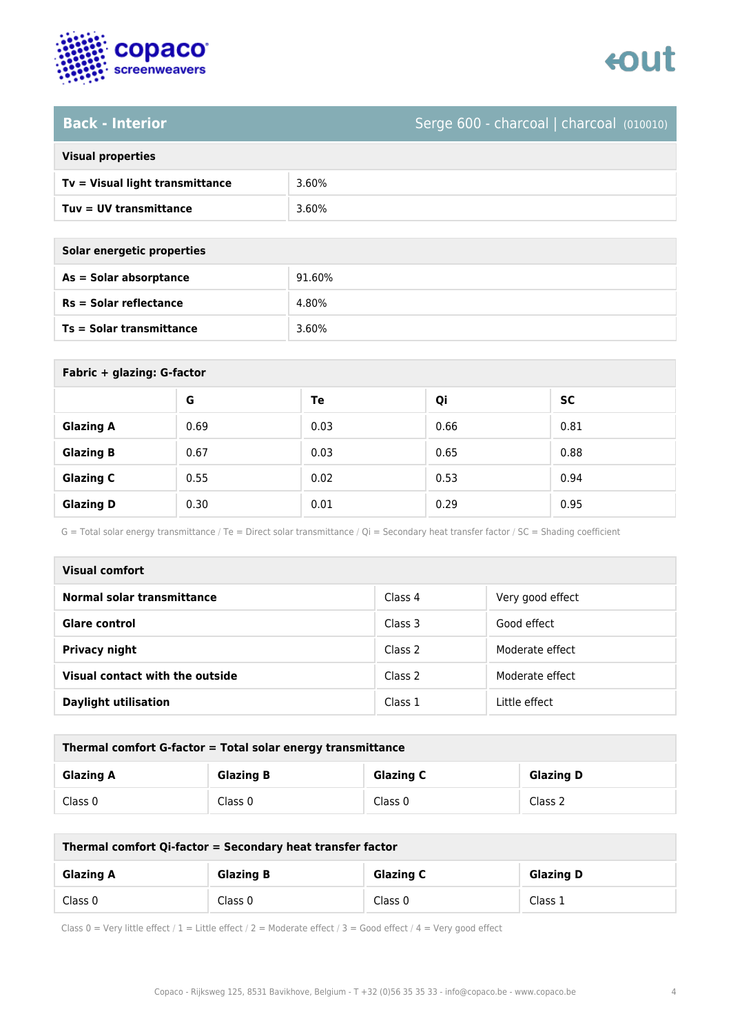

# **Back - Interior** Serge 600 - charcoal | charcoal (010010)

| <b>Visual properties</b> |  |
|--------------------------|--|
|                          |  |

| Tv = Visual light transmittance | 3.60% |
|---------------------------------|-------|
| Tuv = UV transmittance          | 3.60% |

**As = Solar absorptance** 91.60%

**Rs = Solar reflectance** 4.80%

| Solar energetic properties |  |
|----------------------------|--|
| As = Solar absorptance     |  |
| $Rs = Solar$ reflectance   |  |
|                            |  |

**Ts = Solar transmittance** 3.60%

| Fabric + glazing: G-factor |      |      |      |           |
|----------------------------|------|------|------|-----------|
|                            | G    | Te   | Qi   | <b>SC</b> |
| <b>Glazing A</b>           | 0.69 | 0.03 | 0.66 | 0.81      |
| <b>Glazing B</b>           | 0.67 | 0.03 | 0.65 | 0.88      |
| <b>Glazing C</b>           | 0.55 | 0.02 | 0.53 | 0.94      |
| <b>Glazing D</b>           | 0.30 | 0.01 | 0.29 | 0.95      |

G = Total solar energy transmittance / Te = Direct solar transmittance / Qi = Secondary heat transfer factor / SC = Shading coefficient

| Visual comfort                  |         |                  |
|---------------------------------|---------|------------------|
| Normal solar transmittance      | Class 4 | Very good effect |
| <b>Glare control</b>            | Class 3 | Good effect      |
| <b>Privacy night</b>            | Class 2 | Moderate effect  |
| Visual contact with the outside | Class 2 | Moderate effect  |
| <b>Daylight utilisation</b>     | Class 1 | Little effect    |

| Thermal comfort G-factor = Total solar energy transmittance |                  |                  |                  |
|-------------------------------------------------------------|------------------|------------------|------------------|
| <b>Glazing A</b>                                            | <b>Glazing B</b> | <b>Glazing C</b> | <b>Glazing D</b> |
| Class 0                                                     | Class 0          | Class 0          | Class 2          |

| Thermal comfort Qi-factor = Secondary heat transfer factor |                  |                  |                  |
|------------------------------------------------------------|------------------|------------------|------------------|
| <b>Glazing A</b>                                           | <b>Glazing B</b> | <b>Glazing C</b> | <b>Glazing D</b> |
| Class 0                                                    | Class 0          | Class 0          | Class 1          |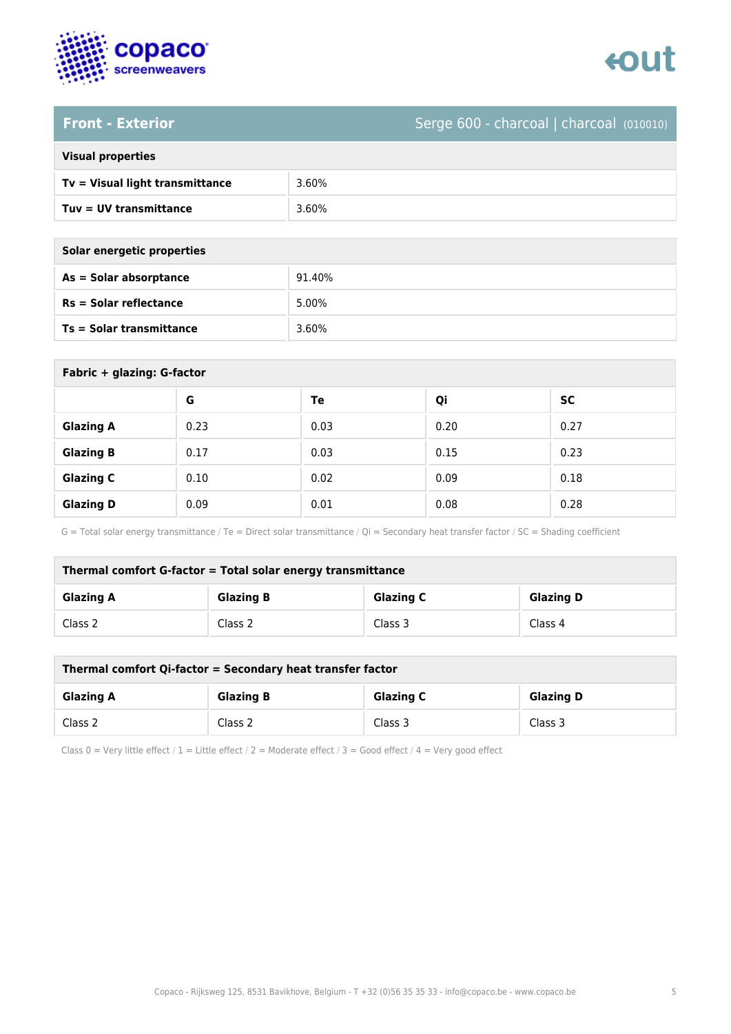

# **Front - Exterior** Serge 600 - charcoal | charcoal (010010)

| <b>Visual properties</b> |  |  |
|--------------------------|--|--|
|                          |  |  |

| Tv = Visual light transmittance | 3.60% |
|---------------------------------|-------|
| Tuv = UV transmittance          | 3.60% |

**As = Solar absorptance** 91.40%

| Solar energetic properties      |        |
|---------------------------------|--------|
| As = Solar absorptance          | 91.40% |
| $Rs = Solar$ reflectance        | 5.00%  |
| <b>Ts = Solar transmittance</b> | 3.60%  |

| Fabric + glazing: G-factor |      |      |      |           |
|----------------------------|------|------|------|-----------|
|                            | G    | Te   | Qi   | <b>SC</b> |
| <b>Glazing A</b>           | 0.23 | 0.03 | 0.20 | 0.27      |
| <b>Glazing B</b>           | 0.17 | 0.03 | 0.15 | 0.23      |
| <b>Glazing C</b>           | 0.10 | 0.02 | 0.09 | 0.18      |
| <b>Glazing D</b>           | 0.09 | 0.01 | 0.08 | 0.28      |

G = Total solar energy transmittance / Te = Direct solar transmittance / Qi = Secondary heat transfer factor / SC = Shading coefficient

| Thermal comfort G-factor = Total solar energy transmittance |                  |                  |                  |
|-------------------------------------------------------------|------------------|------------------|------------------|
| <b>Glazing A</b>                                            | <b>Glazing B</b> | <b>Glazing C</b> | <b>Glazing D</b> |
| Class 2                                                     | Class 2          | Class 3          | Class 4          |

| Thermal comfort Qi-factor = Secondary heat transfer factor |                  |                  |                  |
|------------------------------------------------------------|------------------|------------------|------------------|
| <b>Glazing A</b>                                           | <b>Glazing B</b> | <b>Glazing C</b> | <b>Glazing D</b> |
| Class 2                                                    | Class 2          | Class 3          | Class 3          |